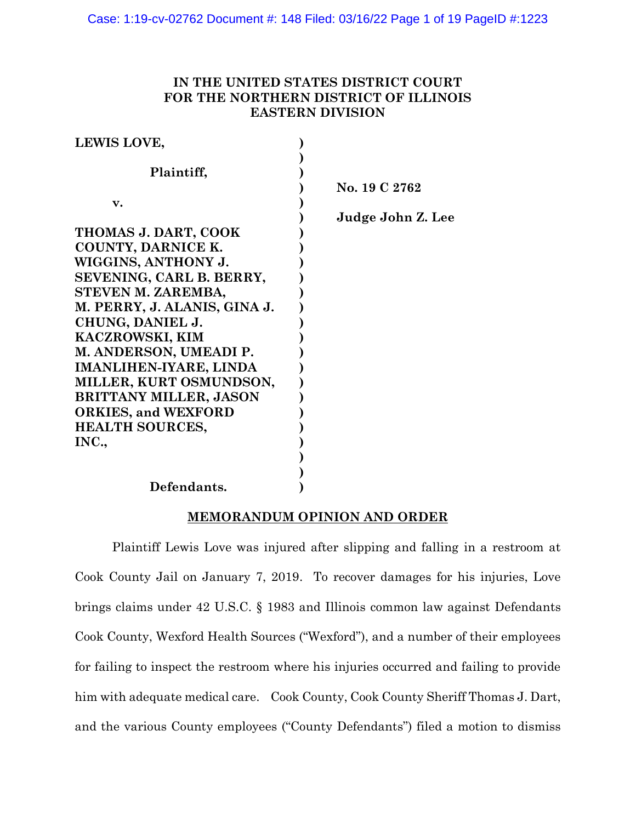# **IN THE UNITED STATES DISTRICT COURT FOR THE NORTHERN DISTRICT OF ILLINOIS EASTERN DIVISION**

| LEWIS LOVE,                   |                   |
|-------------------------------|-------------------|
| Plaintiff,                    |                   |
|                               | No. 19 C 2762     |
| v.                            | Judge John Z. Lee |
| THOMAS J. DART, COOK          |                   |
| COUNTY, DARNICE K.            |                   |
| WIGGINS, ANTHONY J.           |                   |
| SEVENING, CARL B. BERRY,      |                   |
| STEVEN M. ZAREMBA,            |                   |
| M. PERRY, J. ALANIS, GINA J.  |                   |
| CHUNG, DANIEL J.              |                   |
| <b>KACZROWSKI, KIM</b>        |                   |
| M. ANDERSON, UMEADI P.        |                   |
| <b>IMANLIHEN-IYARE, LINDA</b> |                   |
| MILLER, KURT OSMUNDSON,       |                   |
| <b>BRITTANY MILLER, JASON</b> |                   |
| <b>ORKIES, and WEXFORD</b>    |                   |
| <b>HEALTH SOURCES,</b>        |                   |
| INC.,                         |                   |
|                               |                   |
|                               |                   |
| Defendants.                   |                   |

## **MEMORANDUM OPINION AND ORDER**

Plaintiff Lewis Love was injured after slipping and falling in a restroom at Cook County Jail on January 7, 2019. To recover damages for his injuries, Love brings claims under 42 U.S.C. § 1983 and Illinois common law against Defendants Cook County, Wexford Health Sources ("Wexford"), and a number of their employees for failing to inspect the restroom where his injuries occurred and failing to provide him with adequate medical care. Cook County, Cook County Sheriff Thomas J. Dart, and the various County employees ("County Defendants") filed a motion to dismiss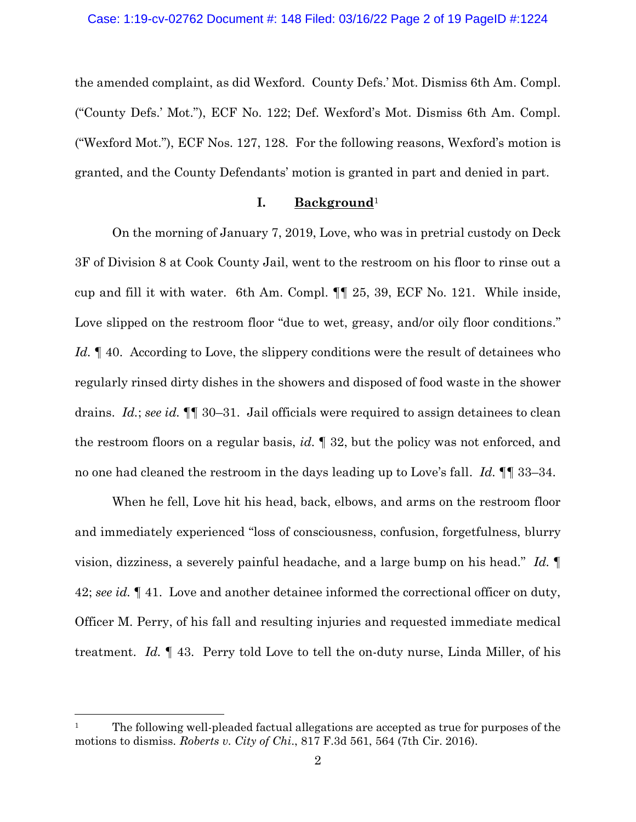the amended complaint, as did Wexford. County Defs.' Mot. Dismiss 6th Am. Compl. ("County Defs.' Mot."), ECF No. 122; Def. Wexford's Mot. Dismiss 6th Am. Compl. ("Wexford Mot."), ECF Nos. 127, 128. For the following reasons, Wexford's motion is granted, and the County Defendants' motion is granted in part and denied in part.

## **I. Background**<sup>1</sup>

On the morning of January 7, 2019, Love, who was in pretrial custody on Deck 3F of Division 8 at Cook County Jail, went to the restroom on his floor to rinse out a cup and fill it with water. 6th Am. Compl. ¶¶ 25, 39, ECF No. 121. While inside, Love slipped on the restroom floor "due to wet, greasy, and/or oily floor conditions." Id. <sup>1</sup> 40. According to Love, the slippery conditions were the result of detainees who regularly rinsed dirty dishes in the showers and disposed of food waste in the shower drains. *Id.*; *see id.* ¶¶ 30–31. Jail officials were required to assign detainees to clean the restroom floors on a regular basis, *id.* ¶ 32, but the policy was not enforced, and no one had cleaned the restroom in the days leading up to Love's fall. *Id.* ¶¶ 33–34.

When he fell, Love hit his head, back, elbows, and arms on the restroom floor and immediately experienced "loss of consciousness, confusion, forgetfulness, blurry vision, dizziness, a severely painful headache, and a large bump on his head." *Id.* ¶ 42; *see id.* ¶ 41. Love and another detainee informed the correctional officer on duty, Officer M. Perry, of his fall and resulting injuries and requested immediate medical treatment. *Id.* ¶ 43. Perry told Love to tell the on-duty nurse, Linda Miller, of his

<sup>&</sup>lt;sup>1</sup> The following well-pleaded factual allegations are accepted as true for purposes of the motions to dismiss. *Roberts v. City of Chi*., 817 F.3d 561, 564 (7th Cir. 2016).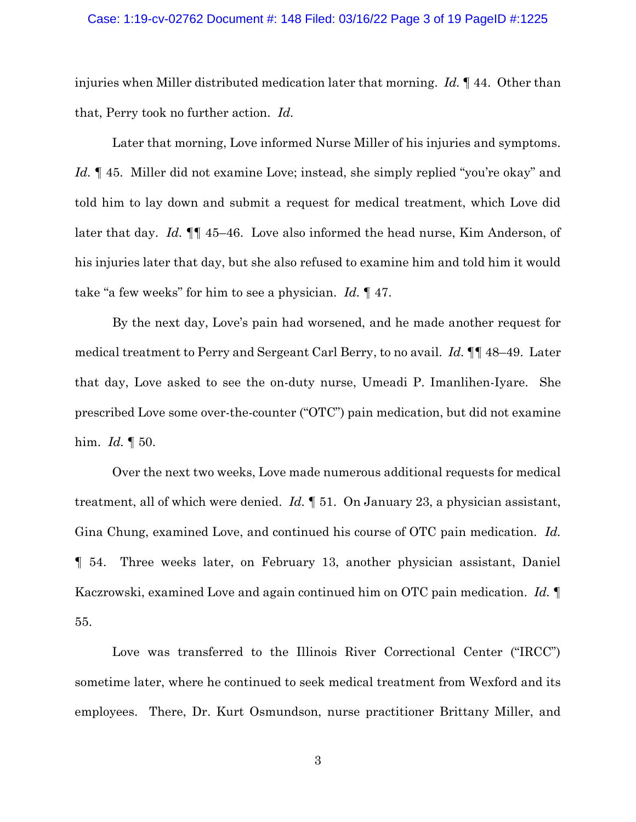#### Case: 1:19-cv-02762 Document #: 148 Filed: 03/16/22 Page 3 of 19 PageID #:1225

injuries when Miller distributed medication later that morning. *Id.* ¶ 44. Other than that, Perry took no further action. *Id.*

Later that morning, Love informed Nurse Miller of his injuries and symptoms. *Id.* 145. Miller did not examine Love; instead, she simply replied "you're okay" and told him to lay down and submit a request for medical treatment, which Love did later that day. *Id.* ¶¶ 45–46. Love also informed the head nurse, Kim Anderson, of his injuries later that day, but she also refused to examine him and told him it would take "a few weeks" for him to see a physician. *Id.* ¶ 47.

By the next day, Love's pain had worsened, and he made another request for medical treatment to Perry and Sergeant Carl Berry, to no avail. *Id.* ¶¶ 48–49. Later that day, Love asked to see the on-duty nurse, Umeadi P. Imanlihen-Iyare. She prescribed Love some over-the-counter ("OTC") pain medication, but did not examine him. *Id.* ¶ 50.

Over the next two weeks, Love made numerous additional requests for medical treatment, all of which were denied. *Id.* ¶ 51. On January 23, a physician assistant, Gina Chung, examined Love, and continued his course of OTC pain medication. *Id.* ¶ 54. Three weeks later, on February 13, another physician assistant, Daniel Kaczrowski, examined Love and again continued him on OTC pain medication. *Id.* ¶ 55.

Love was transferred to the Illinois River Correctional Center ("IRCC") sometime later, where he continued to seek medical treatment from Wexford and its employees. There, Dr. Kurt Osmundson, nurse practitioner Brittany Miller, and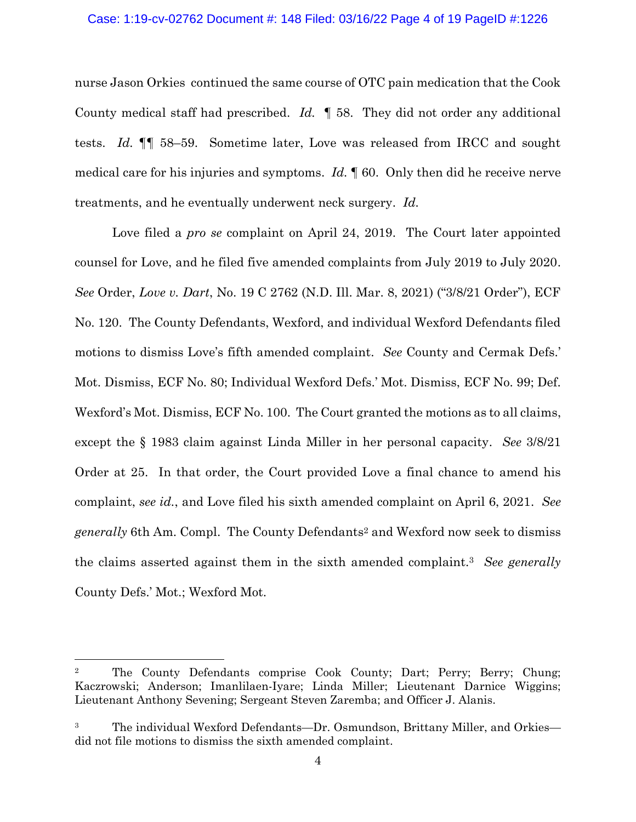## Case: 1:19-cv-02762 Document #: 148 Filed: 03/16/22 Page 4 of 19 PageID #:1226

nurse Jason Orkies continued the same course of OTC pain medication that the Cook County medical staff had prescribed. *Id.* ¶ 58. They did not order any additional tests. *Id.* ¶¶ 58–59. Sometime later, Love was released from IRCC and sought medical care for his injuries and symptoms. *Id.* ¶ 60. Only then did he receive nerve treatments, and he eventually underwent neck surgery. *Id.*

Love filed a *pro se* complaint on April 24, 2019. The Court later appointed counsel for Love, and he filed five amended complaints from July 2019 to July 2020. *See* Order, *Love v. Dart*, No. 19 C 2762 (N.D. Ill. Mar. 8, 2021) ("3/8/21 Order"), ECF No. 120. The County Defendants, Wexford, and individual Wexford Defendants filed motions to dismiss Love's fifth amended complaint. *See* County and Cermak Defs.' Mot. Dismiss, ECF No. 80; Individual Wexford Defs.' Mot. Dismiss, ECF No. 99; Def. Wexford's Mot. Dismiss, ECF No. 100. The Court granted the motions as to all claims, except the § 1983 claim against Linda Miller in her personal capacity. *See* 3/8/21 Order at 25. In that order, the Court provided Love a final chance to amend his complaint, *see id.*, and Love filed his sixth amended complaint on April 6, 2021. *See generally* 6th Am. Compl. The County Defendants<sup>2</sup> and Wexford now seek to dismiss the claims asserted against them in the sixth amended complaint. <sup>3</sup> *See generally* County Defs.' Mot.; Wexford Mot.

<sup>2</sup> The County Defendants comprise Cook County; Dart; Perry; Berry; Chung; Kaczrowski; Anderson; Imanlilaen-Iyare; Linda Miller; Lieutenant Darnice Wiggins; Lieutenant Anthony Sevening; Sergeant Steven Zaremba; and Officer J. Alanis.

<sup>&</sup>lt;sup>3</sup> The individual Wexford Defendants—Dr. Osmundson, Brittany Miller, and Orkies did not file motions to dismiss the sixth amended complaint.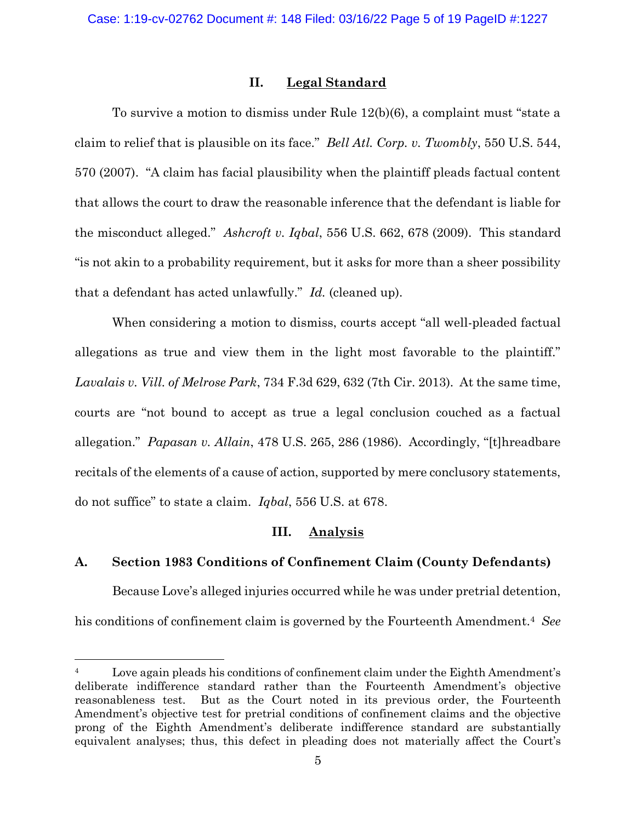## **II. Legal Standard**

To survive a motion to dismiss under Rule 12(b)(6), a complaint must "state a claim to relief that is plausible on its face." *Bell Atl. Corp. v. Twombly*, 550 U.S. 544, 570 (2007). "A claim has facial plausibility when the plaintiff pleads factual content that allows the court to draw the reasonable inference that the defendant is liable for the misconduct alleged." *Ashcroft v. Iqbal*, 556 U.S. 662, 678 (2009). This standard "is not akin to a probability requirement, but it asks for more than a sheer possibility that a defendant has acted unlawfully." *Id.* (cleaned up).

When considering a motion to dismiss, courts accept "all well-pleaded factual allegations as true and view them in the light most favorable to the plaintiff." *Lavalais v. Vill. of Melrose Park*, 734 F.3d 629, 632 (7th Cir. 2013). At the same time, courts are "not bound to accept as true a legal conclusion couched as a factual allegation." *Papasan v. Allain*, 478 U.S. 265, 286 (1986). Accordingly, "[t]hreadbare recitals of the elements of a cause of action, supported by mere conclusory statements, do not suffice" to state a claim. *Iqbal*, 556 U.S. at 678.

## **III. Analysis**

## **A. Section 1983 Conditions of Confinement Claim (County Defendants)**

Because Love's alleged injuries occurred while he was under pretrial detention, his conditions of confinement claim is governed by the Fourteenth Amendment.<sup>4</sup> *See* 

<sup>&</sup>lt;sup>4</sup> Love again pleads his conditions of confinement claim under the Eighth Amendment's deliberate indifference standard rather than the Fourteenth Amendment's objective reasonableness test. But as the Court noted in its previous order, the Fourteenth Amendment's objective test for pretrial conditions of confinement claims and the objective prong of the Eighth Amendment's deliberate indifference standard are substantially equivalent analyses; thus, this defect in pleading does not materially affect the Court's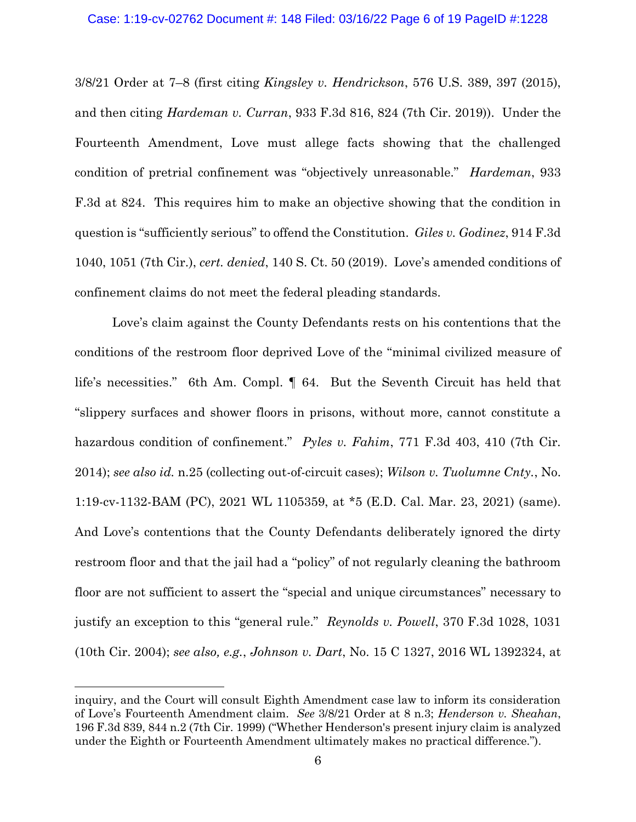3/8/21 Order at 7–8 (first citing *Kingsley v. Hendrickson*, 576 U.S. 389, 397 (2015), and then citing *Hardeman v. Curran*, 933 F.3d 816, 824 (7th Cir. 2019)). Under the Fourteenth Amendment, Love must allege facts showing that the challenged condition of pretrial confinement was "objectively unreasonable." *Hardeman*, 933 F.3d at 824. This requires him to make an objective showing that the condition in question is "sufficiently serious" to offend the Constitution. *Giles v. Godinez*, 914 F.3d 1040, 1051 (7th Cir.), *cert. denied*, 140 S. Ct. 50 (2019). Love's amended conditions of confinement claims do not meet the federal pleading standards.

Love's claim against the County Defendants rests on his contentions that the conditions of the restroom floor deprived Love of the "minimal civilized measure of life's necessities." 6th Am. Compl. ¶ 64. But the Seventh Circuit has held that "slippery surfaces and shower floors in prisons, without more, cannot constitute a hazardous condition of confinement." *Pyles v. Fahim*, 771 F.3d 403, 410 (7th Cir. 2014); *see also id.* n.25 (collecting out-of-circuit cases); *Wilson v. Tuolumne Cnty.*, No. 1:19-cv-1132-BAM (PC), 2021 WL 1105359, at \*5 (E.D. Cal. Mar. 23, 2021) (same). And Love's contentions that the County Defendants deliberately ignored the dirty restroom floor and that the jail had a "policy" of not regularly cleaning the bathroom floor are not sufficient to assert the "special and unique circumstances" necessary to justify an exception to this "general rule." *Reynolds v. Powell*, 370 F.3d 1028, 1031 (10th Cir. 2004); *see also, e.g.*, *Johnson v. Dart*, No. 15 C 1327, 2016 WL 1392324, at

inquiry, and the Court will consult Eighth Amendment case law to inform its consideration of Love's Fourteenth Amendment claim. *See* 3/8/21 Order at 8 n.3; *Henderson v. Sheahan*, 196 F.3d 839, 844 n.2 (7th Cir. 1999) ("Whether Henderson's present injury claim is analyzed under the Eighth or Fourteenth Amendment ultimately makes no practical difference.").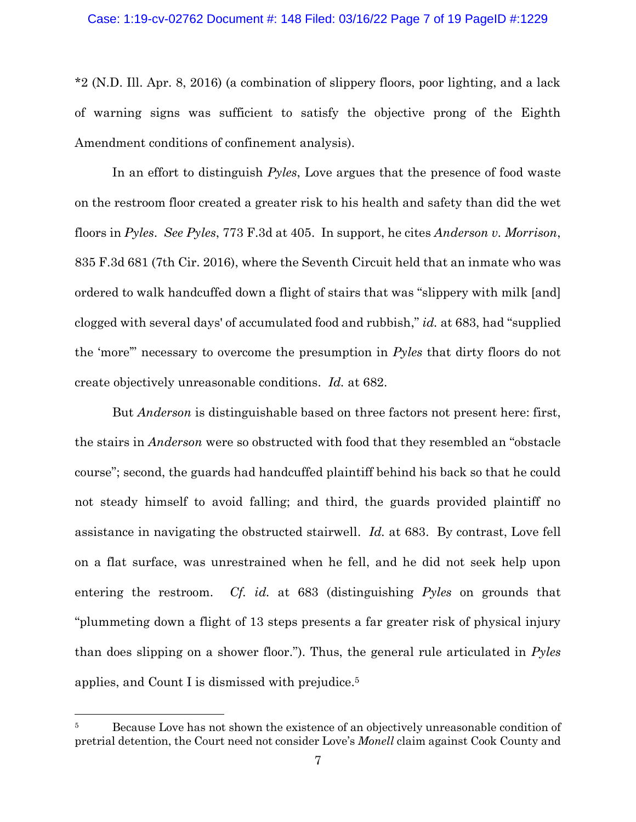\*2 (N.D. Ill. Apr. 8, 2016) (a combination of slippery floors, poor lighting, and a lack of warning signs was sufficient to satisfy the objective prong of the Eighth Amendment conditions of confinement analysis).

In an effort to distinguish *Pyles*, Love argues that the presence of food waste on the restroom floor created a greater risk to his health and safety than did the wet floors in *Pyles*. *See Pyles*, 773 F.3d at 405. In support, he cites *Anderson v. Morrison*, 835 F.3d 681 (7th Cir. 2016), where the Seventh Circuit held that an inmate who was ordered to walk handcuffed down a flight of stairs that was "slippery with milk [and] clogged with several days' of accumulated food and rubbish," *id.* at 683, had "supplied the 'more'" necessary to overcome the presumption in *Pyles* that dirty floors do not create objectively unreasonable conditions. *Id.* at 682.

But *Anderson* is distinguishable based on three factors not present here: first, the stairs in *Anderson* were so obstructed with food that they resembled an "obstacle course"; second, the guards had handcuffed plaintiff behind his back so that he could not steady himself to avoid falling; and third, the guards provided plaintiff no assistance in navigating the obstructed stairwell. *Id.* at 683. By contrast, Love fell on a flat surface, was unrestrained when he fell, and he did not seek help upon entering the restroom. *Cf. id.* at 683 (distinguishing *Pyles* on grounds that "plummeting down a flight of 13 steps presents a far greater risk of physical injury than does slipping on a shower floor."). Thus, the general rule articulated in *Pyles*  applies, and Count I is dismissed with prejudice. 5

<sup>&</sup>lt;sup>5</sup> Because Love has not shown the existence of an objectively unreasonable condition of pretrial detention, the Court need not consider Love's *Monell* claim against Cook County and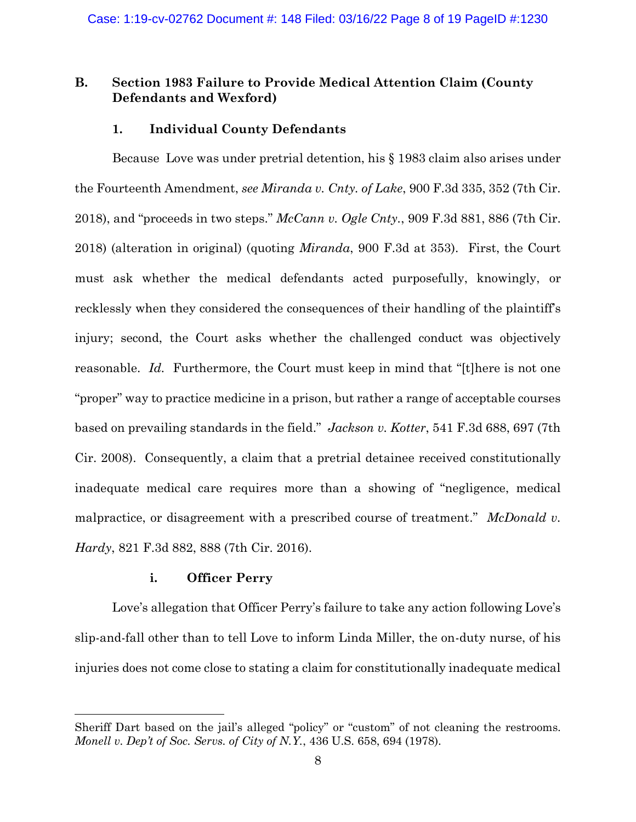# **B. Section 1983 Failure to Provide Medical Attention Claim (County Defendants and Wexford)**

# **1. Individual County Defendants**

Because Love was under pretrial detention, his § 1983 claim also arises under the Fourteenth Amendment, *see Miranda v. Cnty. of Lake*, 900 F.3d 335, 352 (7th Cir. 2018), and "proceeds in two steps." *McCann v. Ogle Cnty.*, 909 F.3d 881, 886 (7th Cir. 2018) (alteration in original) (quoting *Miranda*, 900 F.3d at 353). First, the Court must ask whether the medical defendants acted purposefully, knowingly, or recklessly when they considered the consequences of their handling of the plaintiff's injury; second, the Court asks whether the challenged conduct was objectively reasonable. *Id.* Furthermore, the Court must keep in mind that "[t] here is not one "proper" way to practice medicine in a prison, but rather a range of acceptable courses based on prevailing standards in the field." *Jackson v. Kotter*, 541 F.3d 688, 697 (7th Cir. 2008). Consequently, a claim that a pretrial detainee received constitutionally inadequate medical care requires more than a showing of "negligence, medical malpractice, or disagreement with a prescribed course of treatment." *McDonald v. Hardy*, 821 F.3d 882, 888 (7th Cir. 2016).

## **i. Officer Perry**

Love's allegation that Officer Perry's failure to take any action following Love's slip-and-fall other than to tell Love to inform Linda Miller, the on-duty nurse, of his injuries does not come close to stating a claim for constitutionally inadequate medical

Sheriff Dart based on the jail's alleged "policy" or "custom" of not cleaning the restrooms. *Monell v. Dep't of Soc. Servs. of City of N.Y.*, 436 U.S. 658, 694 (1978).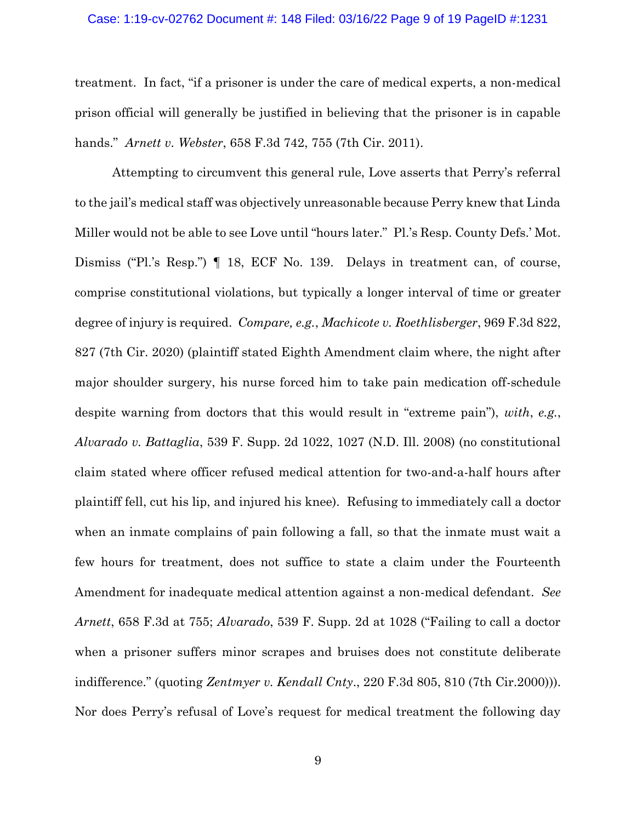#### Case: 1:19-cv-02762 Document #: 148 Filed: 03/16/22 Page 9 of 19 PageID #:1231

treatment. In fact, "if a prisoner is under the care of medical experts, a non-medical prison official will generally be justified in believing that the prisoner is in capable hands." *Arnett v. Webster*, 658 F.3d 742, 755 (7th Cir. 2011).

Attempting to circumvent this general rule, Love asserts that Perry's referral to the jail's medical staff was objectively unreasonable because Perry knew that Linda Miller would not be able to see Love until "hours later." Pl.'s Resp. County Defs.' Mot. Dismiss ("Pl.'s Resp.") ¶ 18, ECF No. 139. Delays in treatment can, of course, comprise constitutional violations, but typically a longer interval of time or greater degree of injury is required. *Compare, e.g.*, *Machicote v. Roethlisberger*, 969 F.3d 822, 827 (7th Cir. 2020) (plaintiff stated Eighth Amendment claim where, the night after major shoulder surgery, his nurse forced him to take pain medication off-schedule despite warning from doctors that this would result in "extreme pain"), *with*, *e.g.*, *Alvarado v. Battaglia*, 539 F. Supp. 2d 1022, 1027 (N.D. Ill. 2008) (no constitutional claim stated where officer refused medical attention for two-and-a-half hours after plaintiff fell, cut his lip, and injured his knee). Refusing to immediately call a doctor when an inmate complains of pain following a fall, so that the inmate must wait a few hours for treatment, does not suffice to state a claim under the Fourteenth Amendment for inadequate medical attention against a non-medical defendant. *See Arnett*, 658 F.3d at 755; *Alvarado*, 539 F. Supp. 2d at 1028 ("Failing to call a doctor when a prisoner suffers minor scrapes and bruises does not constitute deliberate indifference." (quoting *Zentmyer v. Kendall Cnty*., 220 F.3d 805, 810 (7th Cir.2000))). Nor does Perry's refusal of Love's request for medical treatment the following day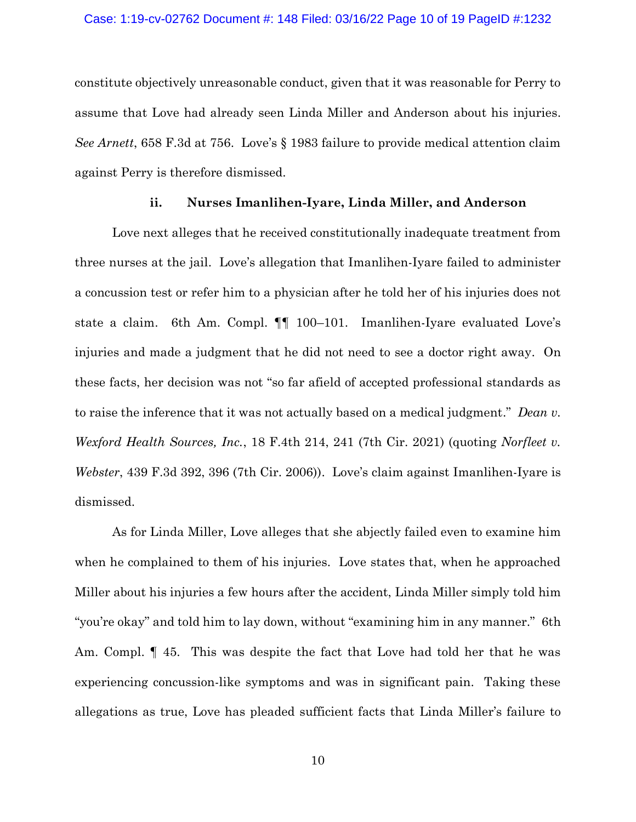#### Case: 1:19-cv-02762 Document #: 148 Filed: 03/16/22 Page 10 of 19 PageID #:1232

constitute objectively unreasonable conduct, given that it was reasonable for Perry to assume that Love had already seen Linda Miller and Anderson about his injuries. *See Arnett*, 658 F.3d at 756. Love's § 1983 failure to provide medical attention claim against Perry is therefore dismissed.

### **ii. Nurses Imanlihen-Iyare, Linda Miller, and Anderson**

Love next alleges that he received constitutionally inadequate treatment from three nurses at the jail. Love's allegation that Imanlihen-Iyare failed to administer a concussion test or refer him to a physician after he told her of his injuries does not state a claim. 6th Am. Compl. ¶¶ 100–101. Imanlihen-Iyare evaluated Love's injuries and made a judgment that he did not need to see a doctor right away. On these facts, her decision was not "so far afield of accepted professional standards as to raise the inference that it was not actually based on a medical judgment." *Dean v. Wexford Health Sources, Inc.*, 18 F.4th 214, 241 (7th Cir. 2021) (quoting *Norfleet v. Webster*, 439 F.3d 392, 396 (7th Cir. 2006)). Love's claim against Imanlihen-Iyare is dismissed.

As for Linda Miller, Love alleges that she abjectly failed even to examine him when he complained to them of his injuries. Love states that, when he approached Miller about his injuries a few hours after the accident, Linda Miller simply told him "you're okay" and told him to lay down, without "examining him in any manner." 6th Am. Compl. ¶ 45. This was despite the fact that Love had told her that he was experiencing concussion-like symptoms and was in significant pain. Taking these allegations as true, Love has pleaded sufficient facts that Linda Miller's failure to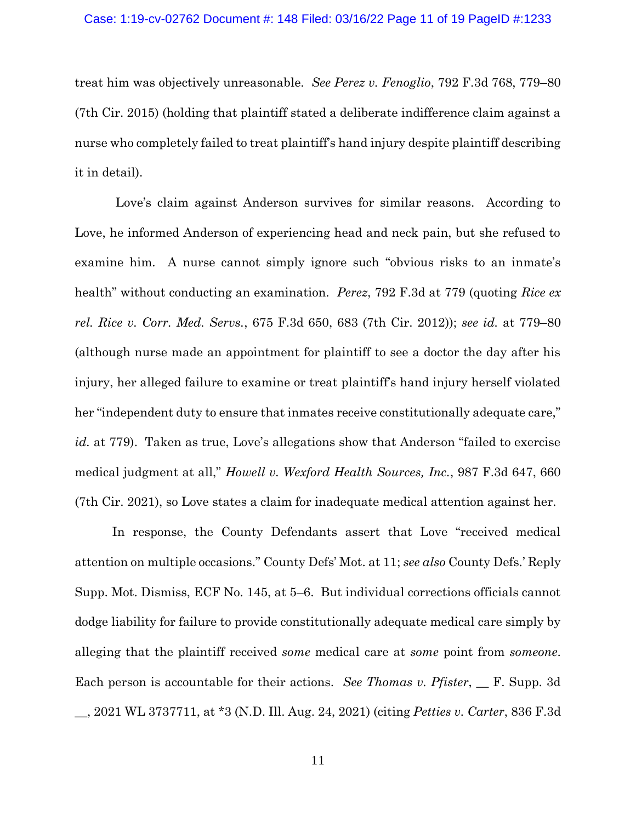treat him was objectively unreasonable. *See Perez v. Fenoglio*, 792 F.3d 768, 779–80 (7th Cir. 2015) (holding that plaintiff stated a deliberate indifference claim against a nurse who completely failed to treat plaintiff's hand injury despite plaintiff describing it in detail).

Love's claim against Anderson survives for similar reasons. According to Love, he informed Anderson of experiencing head and neck pain, but she refused to examine him. A nurse cannot simply ignore such "obvious risks to an inmate's health" without conducting an examination. *Perez*, 792 F.3d at 779 (quoting *Rice ex rel. Rice v. Corr. Med. Servs.*, 675 F.3d 650, 683 (7th Cir. 2012)); *see id.* at 779–80 (although nurse made an appointment for plaintiff to see a doctor the day after his injury, her alleged failure to examine or treat plaintiff's hand injury herself violated her "independent duty to ensure that inmates receive constitutionally adequate care," *id.* at 779). Taken as true, Love's allegations show that Anderson "failed to exercise medical judgment at all," *Howell v. Wexford Health Sources, Inc.*, 987 F.3d 647, 660 (7th Cir. 2021), so Love states a claim for inadequate medical attention against her.

In response, the County Defendants assert that Love "received medical attention on multiple occasions." County Defs' Mot. at 11; *see also* County Defs.' Reply Supp. Mot. Dismiss, ECF No. 145, at 5–6. But individual corrections officials cannot dodge liability for failure to provide constitutionally adequate medical care simply by alleging that the plaintiff received *some* medical care at *some* point from *someone*. Each person is accountable for their actions. *See Thomas v. Pfister*, \_\_ F. Supp. 3d \_\_, 2021 WL 3737711, at \*3 (N.D. Ill. Aug. 24, 2021) (citing *Petties v. Carter*, 836 F.3d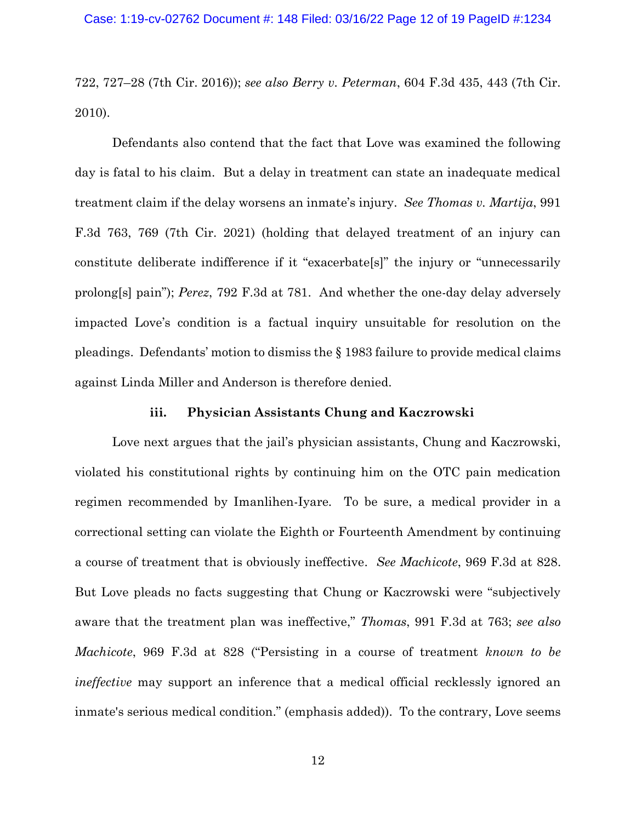722, 727–28 (7th Cir. 2016)); *see also Berry v. Peterman*, 604 F.3d 435, 443 (7th Cir. 2010).

Defendants also contend that the fact that Love was examined the following day is fatal to his claim. But a delay in treatment can state an inadequate medical treatment claim if the delay worsens an inmate's injury. *See Thomas v. Martija*, 991 F.3d 763, 769 (7th Cir. 2021) (holding that delayed treatment of an injury can constitute deliberate indifference if it "exacerbate[s]" the injury or "unnecessarily prolong[s] pain"); *Perez*, 792 F.3d at 781. And whether the one-day delay adversely impacted Love's condition is a factual inquiry unsuitable for resolution on the pleadings. Defendants' motion to dismiss the § 1983 failure to provide medical claims against Linda Miller and Anderson is therefore denied.

#### **iii. Physician Assistants Chung and Kaczrowski**

Love next argues that the jail's physician assistants, Chung and Kaczrowski, violated his constitutional rights by continuing him on the OTC pain medication regimen recommended by Imanlihen-Iyare. To be sure, a medical provider in a correctional setting can violate the Eighth or Fourteenth Amendment by continuing a course of treatment that is obviously ineffective. *See Machicote*, 969 F.3d at 828. But Love pleads no facts suggesting that Chung or Kaczrowski were "subjectively aware that the treatment plan was ineffective," *Thomas*, 991 F.3d at 763; *see also Machicote*, 969 F.3d at 828 ("Persisting in a course of treatment *known to be ineffective* may support an inference that a medical official recklessly ignored an inmate's serious medical condition." (emphasis added)). To the contrary, Love seems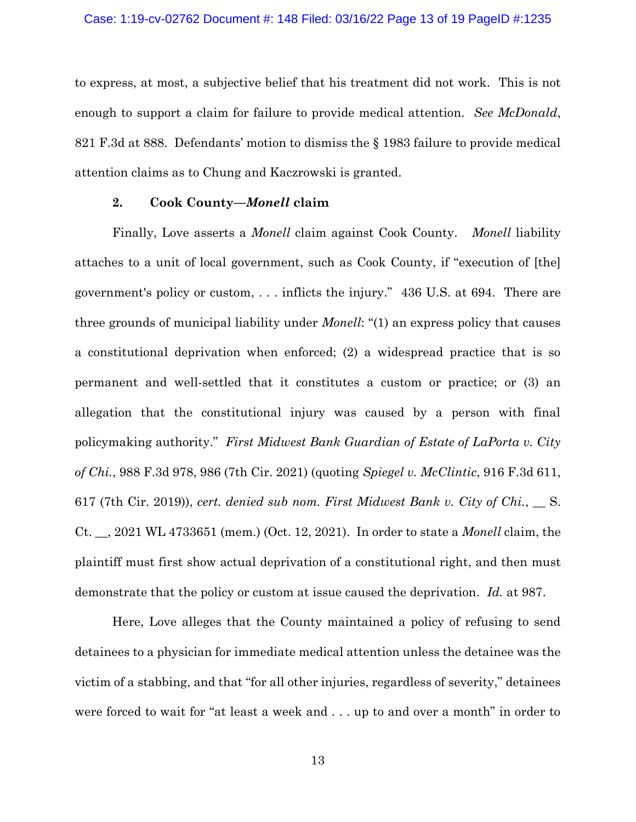to express, at most, a subjective belief that his treatment did not work. This is not enough to support a claim for failure to provide medical attention. *See McDonald*, 821 F.3d at 888. Defendants' motion to dismiss the § 1983 failure to provide medical attention claims as to Chung and Kaczrowski is granted.

### **2. Cook County—***Monell* **claim**

Finally, Love asserts a *Monell* claim against Cook County. *Monell* liability attaches to a unit of local government, such as Cook County, if "execution of [the] government's policy or custom, . . . inflicts the injury." 436 U.S. at 694. There are three grounds of municipal liability under *Monell*: "(1) an express policy that causes a constitutional deprivation when enforced; (2) a widespread practice that is so permanent and well-settled that it constitutes a custom or practice; or (3) an allegation that the constitutional injury was caused by a person with final policymaking authority." *First Midwest Bank Guardian of Estate of LaPorta v. City of Chi.*, 988 F.3d 978, 986 (7th Cir. 2021) (quoting *Spiegel v. McClintic*, 916 F.3d 611, 617 (7th Cir. 2019)), *cert. denied sub nom. First Midwest Bank v. City of Chi.*, \_\_ S. Ct. \_\_, 2021 WL 4733651 (mem.) (Oct. 12, 2021). In order to state a *Monell* claim, the plaintiff must first show actual deprivation of a constitutional right, and then must demonstrate that the policy or custom at issue caused the deprivation. *Id.* at 987.

Here, Love alleges that the County maintained a policy of refusing to send detainees to a physician for immediate medical attention unless the detainee was the victim of a stabbing, and that "for all other injuries, regardless of severity," detainees were forced to wait for "at least a week and . . . up to and over a month" in order to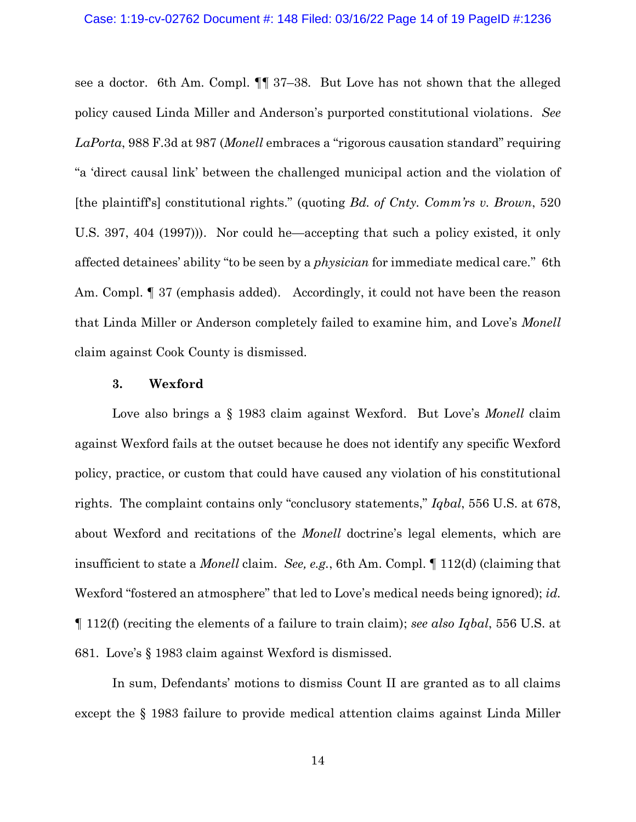see a doctor. 6th Am. Compl. ¶¶ 37–38. But Love has not shown that the alleged policy caused Linda Miller and Anderson's purported constitutional violations. *See LaPorta*, 988 F.3d at 987 (*Monell* embraces a "rigorous causation standard" requiring "a 'direct causal link' between the challenged municipal action and the violation of [the plaintiff's] constitutional rights." (quoting *Bd. of Cnty. Comm'rs v. Brown*, 520 U.S. 397, 404 (1997))). Nor could he—accepting that such a policy existed, it only affected detainees' ability "to be seen by a *physician* for immediate medical care*.*" 6th Am. Compl. ¶ 37 (emphasis added). Accordingly, it could not have been the reason that Linda Miller or Anderson completely failed to examine him, and Love's *Monell*  claim against Cook County is dismissed.

### **3. Wexford**

Love also brings a § 1983 claim against Wexford. But Love's *Monell* claim against Wexford fails at the outset because he does not identify any specific Wexford policy, practice, or custom that could have caused any violation of his constitutional rights. The complaint contains only "conclusory statements," *Iqbal*, 556 U.S. at 678, about Wexford and recitations of the *Monell* doctrine's legal elements, which are insufficient to state a *Monell* claim. *See, e.g.*, 6th Am. Compl. ¶ 112(d) (claiming that Wexford "fostered an atmosphere" that led to Love's medical needs being ignored); *id.*  ¶ 112(f) (reciting the elements of a failure to train claim); *see also Iqbal*, 556 U.S. at 681. Love's § 1983 claim against Wexford is dismissed.

In sum, Defendants' motions to dismiss Count II are granted as to all claims except the § 1983 failure to provide medical attention claims against Linda Miller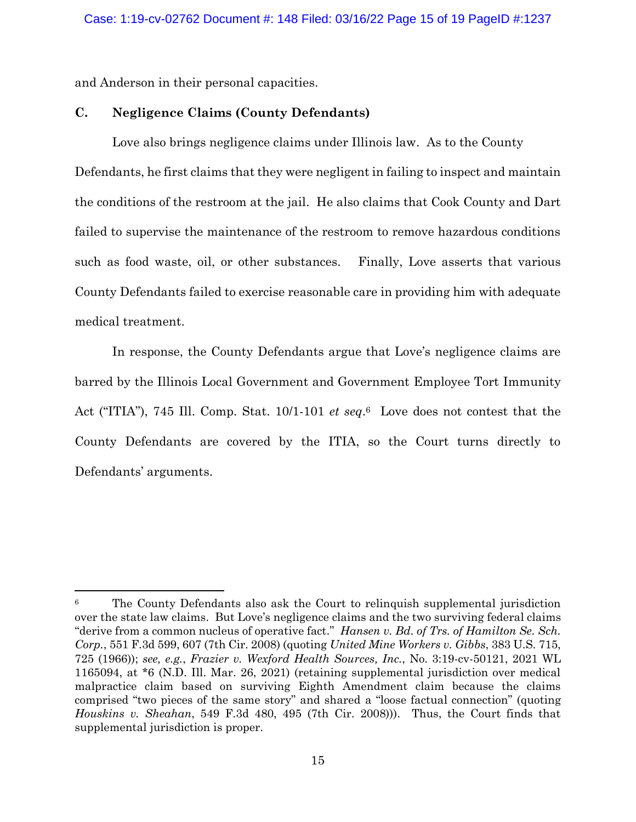and Anderson in their personal capacities.

### **C. Negligence Claims (County Defendants)**

Love also brings negligence claims under Illinois law. As to the County Defendants, he first claims that they were negligent in failing to inspect and maintain the conditions of the restroom at the jail. He also claims that Cook County and Dart failed to supervise the maintenance of the restroom to remove hazardous conditions such as food waste, oil, or other substances. Finally, Love asserts that various County Defendants failed to exercise reasonable care in providing him with adequate medical treatment.

In response, the County Defendants argue that Love's negligence claims are barred by the Illinois Local Government and Government Employee Tort Immunity Act ("ITIA"), 745 Ill. Comp. Stat. 10/1-101 *et seq*. <sup>6</sup> Love does not contest that the County Defendants are covered by the ITIA, so the Court turns directly to Defendants' arguments.

<sup>6</sup> The County Defendants also ask the Court to relinquish supplemental jurisdiction over the state law claims. But Love's negligence claims and the two surviving federal claims "derive from a common nucleus of operative fact." *Hansen v. Bd. of Trs. of Hamilton Se. Sch. Corp.*, 551 F.3d 599, 607 (7th Cir. 2008) (quoting *United Mine Workers v. Gibbs*, 383 U.S. 715, 725 (1966)); *see, e.g.*, *Frazier v. Wexford Health Sources, Inc.*, No. 3:19-cv-50121, 2021 WL 1165094, at \*6 (N.D. Ill. Mar. 26, 2021) (retaining supplemental jurisdiction over medical malpractice claim based on surviving Eighth Amendment claim because the claims comprised "two pieces of the same story" and shared a "loose factual connection" (quoting *Houskins v. Sheahan*, 549 F.3d 480, 495 (7th Cir. 2008))). Thus, the Court finds that supplemental jurisdiction is proper.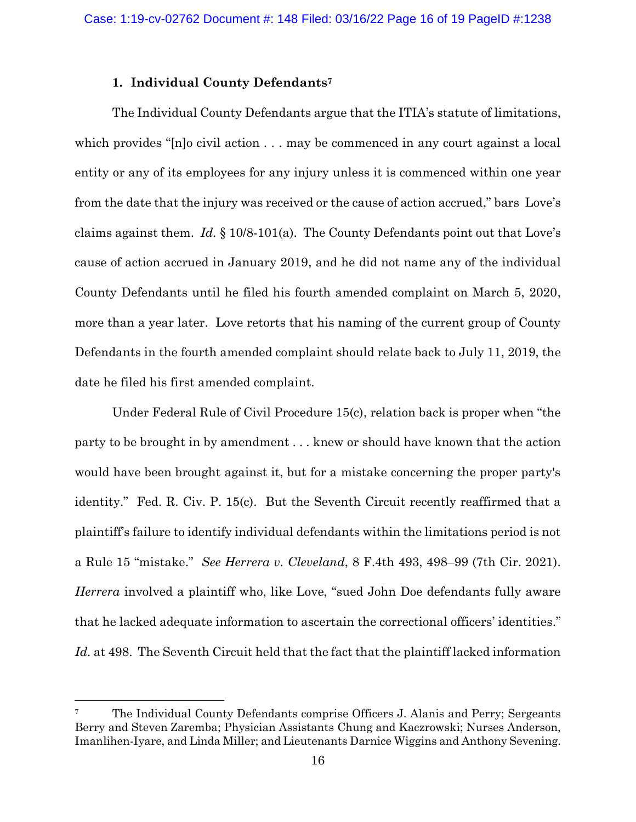## **1. Individual County Defendants<sup>7</sup>**

The Individual County Defendants argue that the ITIA's statute of limitations, which provides "[n]o civil action . . . may be commenced in any court against a local entity or any of its employees for any injury unless it is commenced within one year from the date that the injury was received or the cause of action accrued," bars Love's claims against them. *Id.* § 10/8-101(a). The County Defendants point out that Love's cause of action accrued in January 2019, and he did not name any of the individual County Defendants until he filed his fourth amended complaint on March 5, 2020, more than a year later. Love retorts that his naming of the current group of County Defendants in the fourth amended complaint should relate back to July 11, 2019, the date he filed his first amended complaint.

Under Federal Rule of Civil Procedure 15(c), relation back is proper when "the party to be brought in by amendment . . . knew or should have known that the action would have been brought against it, but for a mistake concerning the proper party's identity." Fed. R. Civ. P. 15(c). But the Seventh Circuit recently reaffirmed that a plaintiff's failure to identify individual defendants within the limitations period is not a Rule 15 "mistake." *See Herrera v. Cleveland*, 8 F.4th 493, 498–99 (7th Cir. 2021). *Herrera* involved a plaintiff who, like Love, "sued John Doe defendants fully aware that he lacked adequate information to ascertain the correctional officers' identities." *Id.* at 498. The Seventh Circuit held that the fact that the plaintiff lacked information

<sup>&</sup>lt;sup>7</sup> The Individual County Defendants comprise Officers J. Alanis and Perry; Sergeants Berry and Steven Zaremba; Physician Assistants Chung and Kaczrowski; Nurses Anderson, Imanlihen-Iyare, and Linda Miller; and Lieutenants Darnice Wiggins and Anthony Sevening.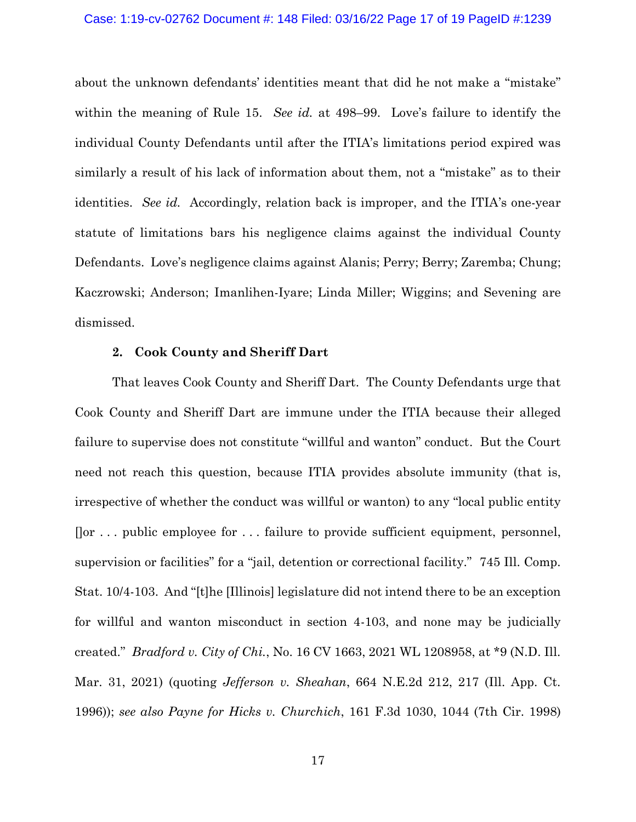#### Case: 1:19-cv-02762 Document #: 148 Filed: 03/16/22 Page 17 of 19 PageID #:1239

about the unknown defendants' identities meant that did he not make a "mistake" within the meaning of Rule 15. *See id.* at 498–99. Love's failure to identify the individual County Defendants until after the ITIA's limitations period expired was similarly a result of his lack of information about them, not a "mistake" as to their identities. *See id.* Accordingly, relation back is improper, and the ITIA's one-year statute of limitations bars his negligence claims against the individual County Defendants. Love's negligence claims against Alanis; Perry; Berry; Zaremba; Chung; Kaczrowski; Anderson; Imanlihen-Iyare; Linda Miller; Wiggins; and Sevening are dismissed.

#### **2. Cook County and Sheriff Dart**

That leaves Cook County and Sheriff Dart. The County Defendants urge that Cook County and Sheriff Dart are immune under the ITIA because their alleged failure to supervise does not constitute "willful and wanton" conduct. But the Court need not reach this question, because ITIA provides absolute immunity (that is, irrespective of whether the conduct was willful or wanton) to any "local public entity []or . . . public employee for . . . failure to provide sufficient equipment, personnel, supervision or facilities" for a "jail, detention or correctional facility." 745 Ill. Comp. Stat. 10/4-103. And "[t]he [Illinois] legislature did not intend there to be an exception for willful and wanton misconduct in section 4-103, and none may be judicially created." *Bradford v. City of Chi.*, No. 16 CV 1663, 2021 WL 1208958, at \*9 (N.D. Ill. Mar. 31, 2021) (quoting *Jefferson v. Sheahan*, 664 N.E.2d 212, 217 (Ill. App. Ct. 1996)); *see also Payne for Hicks v. Churchich*, 161 F.3d 1030, 1044 (7th Cir. 1998)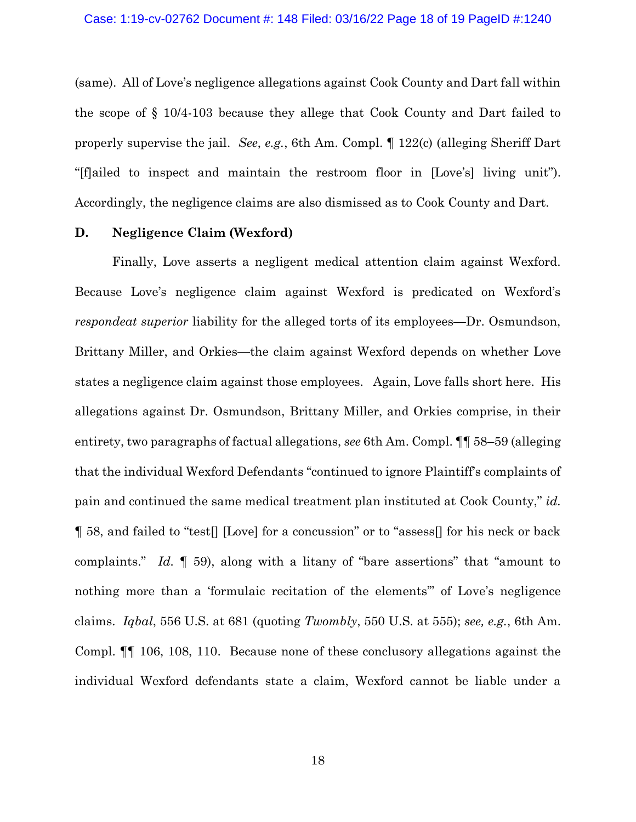(same). All of Love's negligence allegations against Cook County and Dart fall within the scope of § 10/4-103 because they allege that Cook County and Dart failed to properly supervise the jail. *See*, *e.g.*, 6th Am. Compl. ¶ 122(c) (alleging Sheriff Dart "[f]ailed to inspect and maintain the restroom floor in [Love's] living unit"). Accordingly, the negligence claims are also dismissed as to Cook County and Dart.

### **D. Negligence Claim (Wexford)**

Finally, Love asserts a negligent medical attention claim against Wexford. Because Love's negligence claim against Wexford is predicated on Wexford's *respondeat superior* liability for the alleged torts of its employees—Dr. Osmundson, Brittany Miller, and Orkies—the claim against Wexford depends on whether Love states a negligence claim against those employees. Again, Love falls short here. His allegations against Dr. Osmundson, Brittany Miller, and Orkies comprise, in their entirety, two paragraphs of factual allegations, *see* 6th Am. Compl. ¶¶ 58–59 (alleging that the individual Wexford Defendants "continued to ignore Plaintiff's complaints of pain and continued the same medical treatment plan instituted at Cook County," *id.* ¶ 58, and failed to "test[] [Love] for a concussion" or to "assess[] for his neck or back complaints." *Id.* ¶ 59), along with a litany of "bare assertions" that "amount to nothing more than a 'formulaic recitation of the elements'" of Love's negligence claims. *Iqbal*, 556 U.S. at 681 (quoting *Twombly*, 550 U.S. at 555); *see, e.g.*, 6th Am. Compl. ¶¶ 106, 108, 110. Because none of these conclusory allegations against the individual Wexford defendants state a claim, Wexford cannot be liable under a